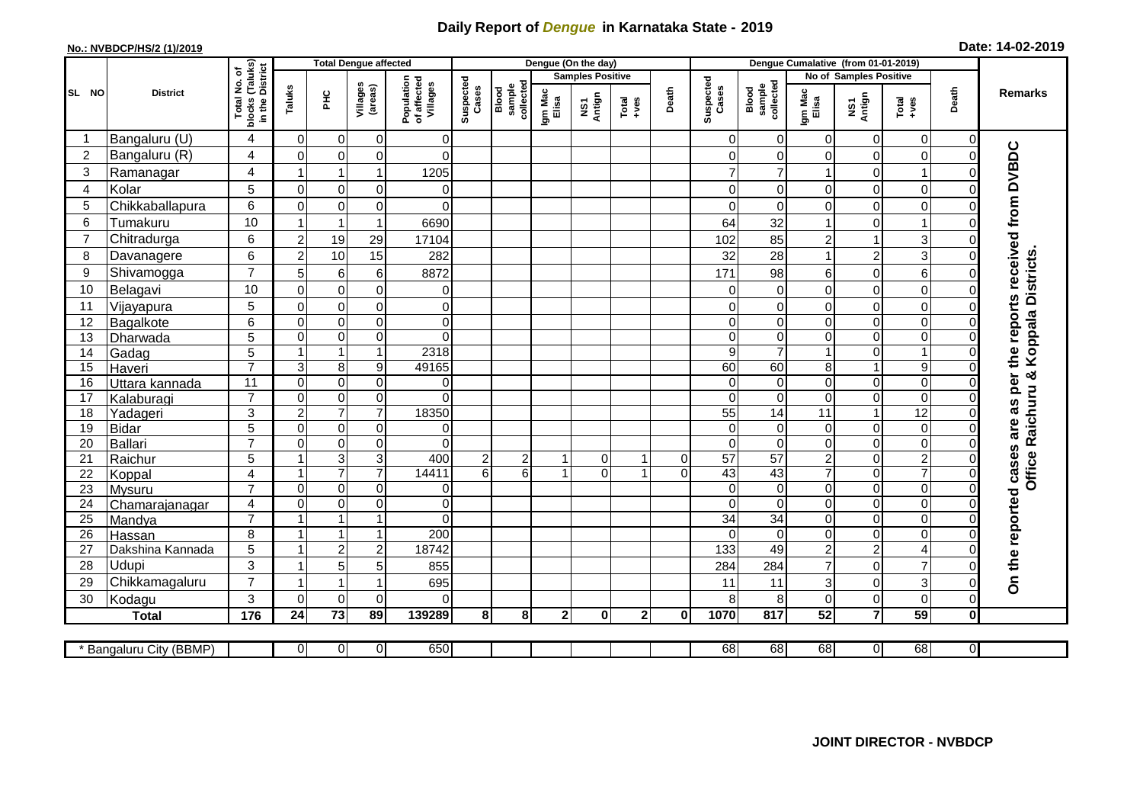## **Daily Report of** *Dengue* **in Karnataka State - 2019**

## **No.: NVBDCP/HS/2 (1)/2019**

|  |  | Date: 14-02-2019 |
|--|--|------------------|
|--|--|------------------|

|                       |                            | <b>Total Dengue affected</b>              |                                        |                     |                                |                                       |                    |                              |                  | Dengue (On the day)     |               |             |                                |                                |                  |                                  |                  |                |                                                                  |
|-----------------------|----------------------------|-------------------------------------------|----------------------------------------|---------------------|--------------------------------|---------------------------------------|--------------------|------------------------------|------------------|-------------------------|---------------|-------------|--------------------------------|--------------------------------|------------------|----------------------------------|------------------|----------------|------------------------------------------------------------------|
|                       |                            | (Taluks)<br>District<br>۵,                |                                        |                     |                                |                                       |                    |                              |                  | <b>Samples Positive</b> |               |             |                                |                                |                  | No of Samples Positive           |                  |                |                                                                  |
| SL NO                 | <b>District</b>            | Total No.<br>blocks<br>in the             | Taluks                                 | 오<br>도              | Villages<br>(areas)            | Population<br>of affected<br>Villages | Suspected<br>Cases | Blood<br>sample<br>collected | Igm Mac<br>Elisa | NS1<br>Antign           | Total<br>+ves | Death       | Suspected<br>Cases             | Blood<br>sample<br>collected   | Igm Mac<br>Elisa | NS1<br>Antign                    | Total<br>+ves    | Death          | Remarks                                                          |
|                       | Bangaluru (U)              | 4                                         | $\overline{0}$                         | 0                   | $\mathbf 0$                    | $\overline{0}$                        |                    |                              |                  |                         |               |             | 0                              | 0                              | $\Omega$         | $\overline{0}$                   | 0                | 0              |                                                                  |
| $\overline{2}$        | Bangaluru (R)              | $\overline{4}$                            | $\mathbf 0$                            | $\mathbf 0$         | $\pmb{0}$                      | $\overline{0}$                        |                    |                              |                  |                         |               |             | $\mathbf 0$                    | $\mathbf 0$                    | $\Omega$         | $\mathbf 0$                      | $\mathbf 0$      | 0              | On the reported cases are as per the reports received from DVBDC |
| 3                     | Ramanagar                  | 4                                         | -1                                     | $\mathbf 1$         | $\mathbf{1}$                   | 1205                                  |                    |                              |                  |                         |               |             | $\overline{7}$                 | $\overline{7}$                 |                  | $\Omega$                         |                  | 0              |                                                                  |
| 4                     | Kolar                      | 5                                         | $\overline{0}$                         | $\pmb{0}$           | $\overline{0}$                 | $\overline{0}$                        |                    |                              |                  |                         |               |             | $\mathbf 0$                    | $\mathbf 0$                    | 0                | $\overline{0}$                   | 0                | 0              |                                                                  |
| 5                     | Chikkaballapura            | 6                                         | $\Omega$                               | $\mathbf 0$         | $\mathbf 0$                    | $\overline{0}$                        |                    |                              |                  |                         |               |             | $\Omega$                       | $\Omega$                       | $\Omega$         | $\mathbf 0$                      | $\Omega$         |                |                                                                  |
| 6                     | Tumakuru                   | 10                                        | 1                                      | $\mathbf{1}$        | $\mathbf{1}$                   | 6690                                  |                    |                              |                  |                         |               |             | 64                             | 32                             | -1               | $\Omega$                         |                  |                |                                                                  |
| $\overline{7}$        | Chitradurga                | 6                                         | $\overline{a}$                         | 19                  | 29                             | 17104                                 |                    |                              |                  |                         |               |             | 102                            | 85                             | $\overline{c}$   | $\mathbf{1}$                     | 3                |                |                                                                  |
| 8                     | Davanagere                 | 6                                         | $\boldsymbol{2}$                       | 10                  | 15                             | 282                                   |                    |                              |                  |                         |               |             | 32                             | 28                             |                  | $\overline{a}$                   | 3                |                |                                                                  |
| 9                     | Shivamogga                 | $\overline{7}$                            | 5                                      | $\,6$               | 6                              | 8872                                  |                    |                              |                  |                         |               |             | 171                            | 98                             | 6                | $\overline{0}$                   | 6                |                | Koppala Districts                                                |
| 10                    | Belagavi                   | 10                                        | $\overline{0}$                         | $\mathbf 0$         | $\mathbf 0$                    | $\overline{0}$                        |                    |                              |                  |                         |               |             | $\Omega$                       | $\mathbf 0$                    | $\Omega$         | $\mathbf 0$                      | $\overline{0}$   | 0              |                                                                  |
| 11                    | Vijayapura                 | 5                                         | $\mathbf 0$                            | $\pmb{0}$           | $\pmb{0}$                      | $\overline{0}$                        |                    |                              |                  |                         |               |             | 0                              | 0                              | $\Omega$         | $\mathbf 0$                      | $\mathbf 0$      | 0              |                                                                  |
| $\overline{12}$       | Bagalkote                  | $\overline{6}$                            | $\overline{0}$                         | $\overline{0}$      | $\overline{0}$                 | $\overline{0}$                        |                    |                              |                  |                         |               |             | $\mathbf 0$                    | $\mathbf 0$                    | $\Omega$         | $\overline{0}$                   | $\overline{0}$   | 0              |                                                                  |
| 13                    | Dharwada                   | 5                                         | $\overline{0}$                         | $\mathbf 0$         | $\overline{0}$                 | $\overline{0}$                        |                    |                              |                  |                         |               |             | $\mathbf 0$                    | $\mathbf 0$                    | $\Omega$         | $\overline{0}$                   | 0                |                |                                                                  |
| 14                    | Gadag                      | 5                                         | $\mathbf{1}$                           | $\mathbf{1}$        | $\mathbf{1}$                   | 2318                                  |                    |                              |                  |                         |               |             | 9                              | $\overline{7}$                 |                  | $\overline{0}$                   |                  | 0              |                                                                  |
| 15                    | Haveri                     | $\overline{7}$                            | 3                                      | 8                   | $\boldsymbol{9}$               | 49165                                 |                    |                              |                  |                         |               |             | 60                             | 60                             | 8                | $\mathbf{1}$                     | 9                | 0              |                                                                  |
| $\overline{16}$       | Uttara kannada             | 11                                        | $\overline{0}$                         | $\overline{0}$      | $\overline{0}$                 | $\overline{0}$                        |                    |                              |                  |                         |               |             | $\mathbf{0}$                   | $\mathbf 0$                    | $\Omega$         | $\overline{0}$                   | $\Omega$         | 0              |                                                                  |
| 17                    | Kalaburagi                 | $\overline{7}$                            | $\mathbf 0$                            | $\pmb{0}$           | $\overline{0}$                 | $\Omega$                              |                    |                              |                  |                         |               |             | $\mathbf{0}$                   | $\Omega$                       | $\Omega$         | $\overline{0}$                   | $\mathbf 0$      | O              |                                                                  |
| 18                    | Yadageri                   | 3                                         | $\overline{c}$                         | $\overline{7}$      | $\overline{7}$                 | 18350                                 |                    |                              |                  |                         |               |             | 55                             | 14                             | 11               | $\mathbf{1}$                     | $\overline{12}$  |                |                                                                  |
| 19                    | <b>Bidar</b>               | 5                                         | $\Omega$                               | $\boldsymbol{0}$    | $\mathbf 0$                    | $\overline{0}$                        |                    |                              |                  |                         |               |             | $\Omega$                       | 0                              | $\Omega$         | $\overline{0}$                   | $\mathbf 0$      | 0              |                                                                  |
| 20                    | Ballari                    | $\overline{7}$                            | $\mathbf 0$                            | $\pmb{0}$           | $\pmb{0}$                      | $\Omega$                              |                    |                              |                  |                         |               |             | 0                              | 0                              | $\overline{0}$   | $\mathbf 0$                      | 0                | 0              |                                                                  |
| 21                    | Raichur                    | 5                                         | $\mathbf{1}$                           | $\overline{3}$      | $\overline{3}$                 | 400                                   | $\overline{2}$     | 2                            | -1               | $\overline{0}$          | $\mathbf{1}$  | 0           | 57                             | $\overline{57}$                | $\overline{c}$   | $\overline{0}$                   | $\boldsymbol{2}$ | 0              | Office Raichuru &                                                |
| 22                    | Koppal                     | $\overline{\mathbf{4}}$<br>$\overline{7}$ | 1                                      | $\overline{7}$      | $\overline{7}$                 | 14411                                 | $6\phantom{a}$     | $6\phantom{a}$               | 1                | $\mathbf 0$             | 1             | $\mathbf 0$ | 43                             | 43                             | $\overline{7}$   | $\overline{0}$                   | $\overline{7}$   | 0              |                                                                  |
| 23                    | Mysuru                     |                                           | $\mathbf 0$<br>$\overline{\mathsf{o}}$ | $\pmb{0}$           | $\overline{0}$                 | $\overline{0}$                        |                    |                              |                  |                         |               |             | $\mathbf 0$                    | $\mathbf 0$                    | $\Omega$         | $\overline{0}$<br>$\overline{0}$ | $\pmb{0}$        | 0              |                                                                  |
| 24<br>$\overline{25}$ | Chamarajanagar             | 4<br>$\overline{7}$                       | $\overline{1}$                         | $\overline{0}$<br>1 | $\overline{0}$<br>$\mathbf{1}$ | $\overline{0}$<br>$\overline{0}$      |                    |                              |                  |                         |               |             | $\mathbf 0$<br>$\overline{34}$ | $\mathbf 0$<br>$\overline{34}$ | 0<br>$\Omega$    | $\mathbf 0$                      | 0<br>0           | 0              |                                                                  |
| 26                    | Mandya                     | 8                                         | $\mathbf{1}$                           | $\overline{1}$      | $\mathbf{1}$                   | 200                                   |                    |                              |                  |                         |               |             | $\mathbf{0}$                   | $\mathbf 0$                    | $\Omega$         | $\mathbf 0$                      | 0                | 0              |                                                                  |
| 27                    | Hassan<br>Dakshina Kannada | 5                                         | 1                                      | $\overline{c}$      | $\overline{c}$                 | 18742                                 |                    |                              |                  |                         |               |             | 133                            | 49                             | $\overline{2}$   | $\overline{a}$                   | 4                |                |                                                                  |
| 28                    | <b>Udupi</b>               | 3                                         | 1                                      | 5                   | 5                              | 855                                   |                    |                              |                  |                         |               |             | 284                            | 284                            | $\overline{7}$   | $\Omega$                         | $\overline{7}$   |                |                                                                  |
| 29                    | Chikkamagaluru             | $\overline{7}$                            | $\overline{1}$                         | 1                   | 1                              | 695                                   |                    |                              |                  |                         |               |             | 11                             | 11                             | 3                | $\Omega$                         | 3                | 0              |                                                                  |
| 30                    | Kodagu                     | 3                                         | $\Omega$                               | $\mathbf 0$         | $\Omega$                       | $\Omega$                              |                    |                              |                  |                         |               |             | 8                              | 8                              | $\Omega$         | $\Omega$                         | $\Omega$         | 0l             |                                                                  |
|                       | <b>Total</b>               | $\frac{1}{176}$                           | 24                                     | $\overline{73}$     | 89                             | 139289                                | 8                  | 8                            | $\mathbf{2}$     | $\mathbf 0$             | $2\vert$      | $\mathbf 0$ | 10 <sub>70</sub>               | 817                            | 52               | $\overline{\mathbf{7}}$          | 59               | $\mathbf{0}$   |                                                                  |
|                       |                            |                                           |                                        |                     |                                |                                       |                    |                              |                  |                         |               |             |                                |                                |                  |                                  |                  |                |                                                                  |
|                       | * Bangaluru City (BBMP)    |                                           | $\overline{0}$                         | $\overline{0}$      | $\overline{0}$                 | 650                                   |                    |                              |                  |                         |               |             | $\overline{68}$                | 68                             | 68               | $\overline{0}$                   | 68               | $\overline{0}$ |                                                                  |